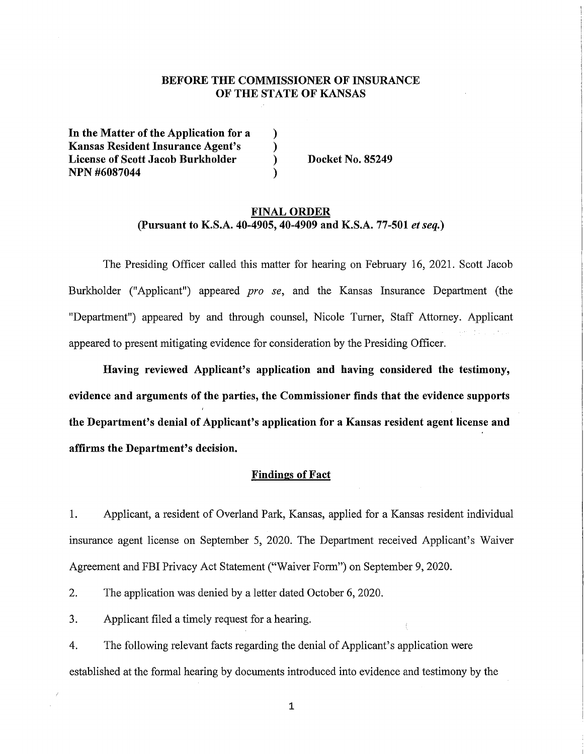# **BEFORE THE COMMISSIONER OF INSURANCE OF THE STATE OF KANSAS**

) ) ) )

**In the Matter of the Application for a Kansas Resident Insurance Agent's License of Scott Jacob Burkholder NPN #6087044** 

**Docket No. 85249** 

### **FINAL ORDER (Pursuant to K.S.A. 40-4905, 40-4909 and K.S.A. 77-501** *et seq.)*

The Presiding Officer called this matter for hearing on February 16, 2021. Scott Jacob Burkholder ("Applicant") appeared *pro se,* and the Kansas Insurance Department (the "Department") appeared by and through counsel, Nicole Turner, Staff Attorney. Applicant appeared to present mitigating evidence for consideration by the Presiding Officer.

**Having reviewed Applicant's application and having considered the testimony, evidence and arguments of the parties, the Commissioner finds that the evidence supports the Department's denial of Applicant's application for a Kansas resident agent license and affirms the Department's decision.** 

### **Findings of Fact**

1. Applicant, a resident of Overland Park, Kansas, applied for a Kansas resident individual insurance agent license on September 5, 2020. The Department received Applicant's Waiver Agreement and FBI Privacy Act Statement ("Waiver Form") on September 9, 2020.

2. The application was denied by a letter dated October 6, 2020.

3. Applicant filed a timely request for a hearing.

4. The following relevant facts regarding the denial of Applicant's application were established at the formal hearing by documents introduced into evidence and testimony by the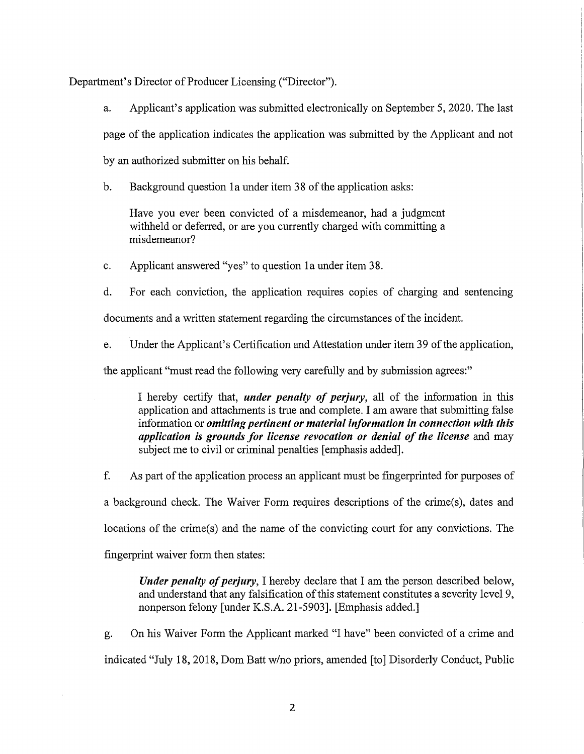Department's Director of Producer Licensing ("Director").

a. Applicant's application was submitted electronically on September 5, 2020. The last page of the application indicates the application was submitted by the Applicant and not by an authorized submitter on his behalf.

b. Background question la under item 38 of the application asks:

Have you ever been convicted of a misdemeanor, had a judgment withheld or deferred, or are you currently charged with committing a misdemeanor?

c. Applicant answered "yes" to question la under item 38.

d. For each conviction, the application requires copies of charging and sentencing

documents and a written statement regarding the circumstances of the incident.

e. Under the Applicant's Certification and Attestation under item 39 of the application,

the applicant "must read the following very carefully and by submission agrees:"

I hereby certify that, *under penalty of perjury,* all of the information in this application and attachments is true and complete. I am aware that submitting false information or *omitting pertinent or material information in connection with this application is grounds for license revocation or denial of the license* and may subject me to civil or criminal penalties [emphasis added].

f. As part of the application process an applicant must be fingerprinted for purposes of a background check. The Waiver Form requires descriptions of the crime(s), dates and locations of the crime(s) and the name of the convicting court for any convictions. The fingerprint waiver form then states:

*Under penalty of perjury,* I hereby declare that I am the person described below, and understand that any falsification of this statement constitutes a severity level 9, nonperson felony [under K.S.A. 21-5903]. [Emphasis added.]

g. On his Waiver Form the Applicant marked "I have" been convicted of a crime and indicated "July 18, 2018, Dom Batt *wino* priors, amended [to] Disorderly Conduct, Public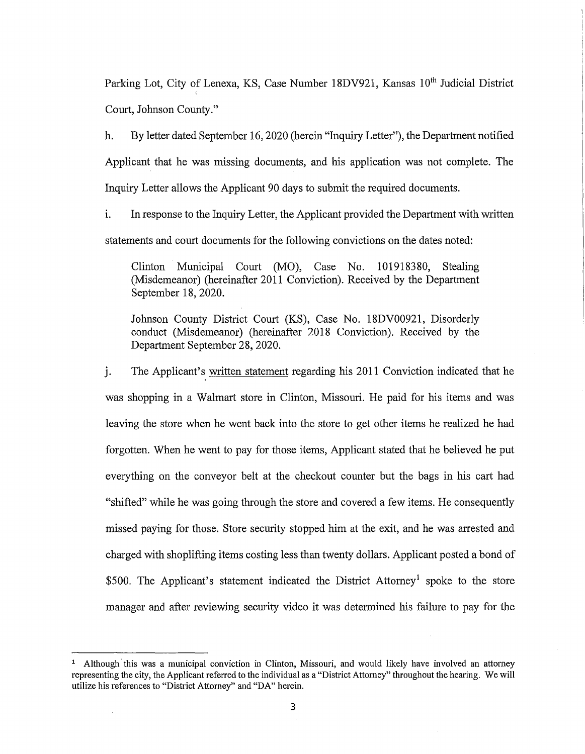Parking Lot, City of Lenexa, KS, Case Number 18DV921, Kansas 10<sup>th</sup> Judicial District Court, Johnson County."

h. By letter dated September 16, 2020 (herein "Inquiry Letter"), the Department notified Applicant that he was missing documents, and his application was not complete. The Inquiry Letter allows the Applicant 90 days to submit the required documents.

1. In response to the Inquiry Letter, the Applicant provided the Department with written statements and court documents for the following convictions on the dates noted:

Clinton Municipal Comt (MO), Case No. 101918380, Stealing (Misdemeanor) (hereinafter 2011 Conviction). Received by the Department September 18, 2020.

Johnson County District Court (KS), Case No. 18DV00921, Disorderly conduct (Misdemeanor) (hereinafter 2018 Conviction). Received by the Department September 28, 2020.

j. The Applicant's written statement regarding his 2011 Conviction indicated that he was shopping in a Walmart store in Clinton, Missouri. He paid for his items and was leaving the store when he went back into the store to get other items he realized he had forgotten. When he went to pay for those items, Applicant stated that he believed he put everything on the conveyor belt at the checkout counter but the bags in his cart had "shifted" while he was going through the store and covered a few items. He consequently missed paying for those. Store security stopped him at the exit, and he was arrested and charged with shoplifting items costing less than twenty dollars. Applicant posted a bond of \$500. The Applicant's statement indicated the District Attorney<sup>1</sup> spoke to the store manager and after reviewing security video it was determined his failure to pay for the

<sup>&</sup>lt;sup>1</sup> Although this was a municipal conviction in Clinton, Missouri, and would likely have involved an attorney representing the city, the Applicant referred to the individual as a "District Attorney" throughout the hearing. We will utilize his references to "District Attorney" and "DA" herein.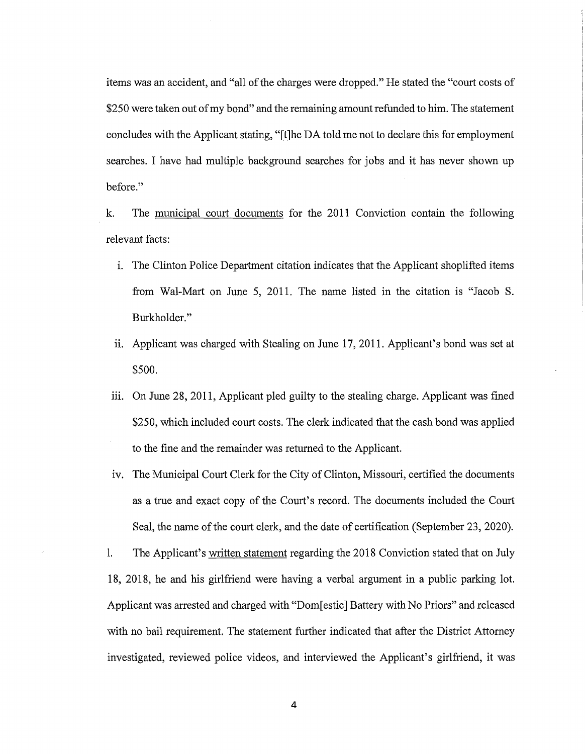items was an accident, and "all of the charges were dropped." He stated the "court costs of \$250 were taken out of my bond" and the remaining amount refunded to him. The statement concludes with the Applicant stating, "[t]he DA told me not to declare this for employment searches. I have had multiple background searches for jobs and it has never shown up before."

k. The municipal court documents for the 2011 Conviction contain the following relevant facts:

- 1. The Clinton Police Department citation indicates that the Applicant shoplifted items from Wal-Mart on June 5, 2011. The name listed in the citation is "Jacob S. Burkholder."
- ii. Applicant was charged with Stealing on June 17, 2011. Applicant's bond was set at \$500.
- iii. On June  $28$ ,  $2011$ , Applicant pled guilty to the stealing charge. Applicant was fined \$250, which included court costs. The clerk indicated that the cash bond was applied to the fine and the remainder was returned to the Applicant.
- iv. The Municipal Court Clerk for the City of Clinton, Missouri, certified the documents as a true and exact copy of the Court's record. The documents included the Court Seal, the name of the court clerk, and the date of certification (September 23, 2020).

1. The Applicant's written statement regarding the 2018 Conviction stated that on July 18, 2018, he and his girlfriend were having a verbal argument in a public parking lot. Applicant was arrested and charged with "Dom[estic] Battery with No Priors" and released with no bail requirement. The statement further indicated that after the District Attorney investigated, reviewed police videos, and interviewed the Applicant's girlfriend, it was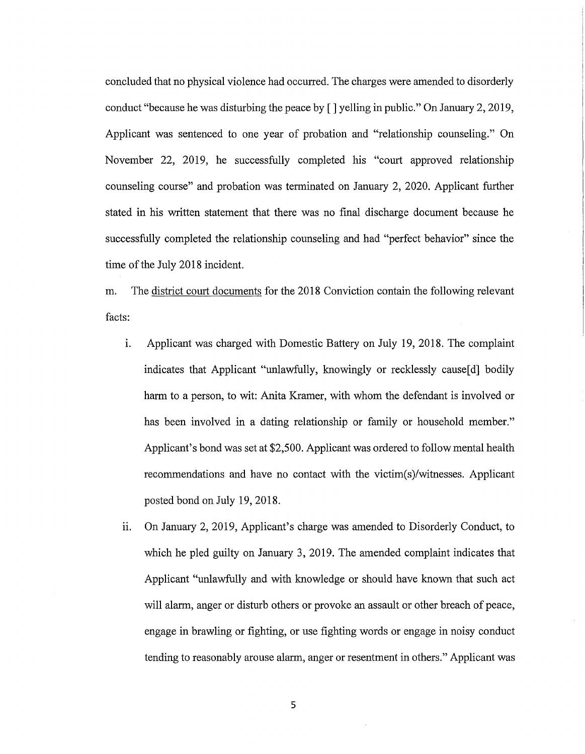concluded that no physical violence had occurred. The charges were amended to disorderly conduct "because he was disturbing the peace by [] yelling in public." On January 2, 2019, Applicant was sentenced to one year of probation and "relationship counseling." On November 22, 2019, he successfully completed his "court approved relationship counseling course" and probation was terminated on January 2, 2020. Applicant further stated in his written statement that there was no final discharge document because he successfully completed the relationship counseling and had "perfect behavior" since the time of the July 2018 incident.

m. The district court documents for the 2018 Conviction contain the following relevant facts:

- 1. Applicant was charged with Domestic Battery on July 19, 2018. The complaint indicates that Applicant "unlawfully, knowingly or recklessly cause[d] bodily harm to a person, to wit: Anita Kramer, with whom the defendant is involved or has been involved in a dating relationship or family or household member." Applicant's bond was set at \$2,500. Applicant was ordered to follow mental health recommendations and have no contact with the victim(s)/witnesses. Applicant posted bond on July 19, 2018.
- ii. On January 2, 2019, Applicant's charge was amended to Disorderly Conduct, to which he pled guilty on January 3, 2019. The amended complaint indicates that Applicant "unlawfully and with knowledge or should have known that such act will alarm, anger or disturb others or provoke an assault or other breach of peace, engage in brawling or fighting, or use fighting words or engage in noisy conduct tending to reasonably arouse alarm, anger or resentment in others." Applicant was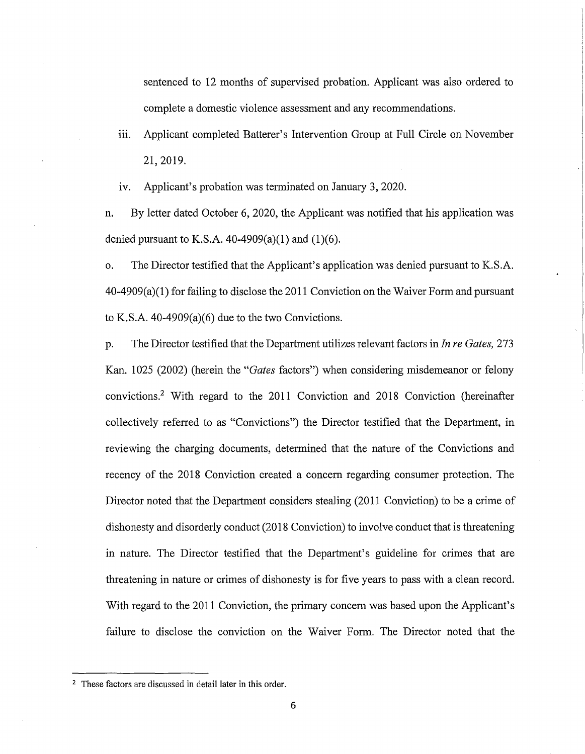sentenced to 12 months of supervised probation. Applicant was also ordered to complete a domestic violence assessment and any recommendations.

111. Applicant completed Batterer's Intervention Group at Full Circle on November 21, 2019.

iv. Applicant's probation was terminated on January 3, 2020.

n. By letter dated October 6, 2020, the Applicant was notified that his application was denied pursuant to K.S.A.  $40-4909(a)(1)$  and  $(1)(6)$ .

o. The Director testified that the Applicant's application was denied pursuant to K.S.A. 40-4909(a)(l) for failing to disclose the 2011 Conviction on the Waiver Form and pursuant to K.S.A. 40-4909(a)(6) due to the two Convictions.

p. The Director testified that the Department utilizes relevant factors in *In re Gates,* 273 Kan. 1025 (2002) (herein the *"Gates* factors") when considering misdemeanor or felony convictions.<sup>2</sup>With regard to the 2011 Conviction and 2018 Conviction (hereinafter collectively referred to as "Convictions") the Director testified that the Department, in reviewing the charging documents, determined that the nature of the Convictions and recency of the 2018 Conviction created a concern regarding consumer protection. The Director noted that the Department considers stealing (2011 Conviction) to be a crime of dishonesty and disorderly conduct (2018 Conviction) to involve conduct that is threatening in nature. The Director testified that the Department's guideline for crimes that are threatening in nature or crimes of dishonesty is for five years to pass with a clean record. With regard to the 2011 Conviction, the primary concern was based upon the Applicant's failure to disclose the conviction on the Waiver Form. The Director noted that the

<sup>&</sup>lt;sup>2</sup> These factors are discussed in detail later in this order.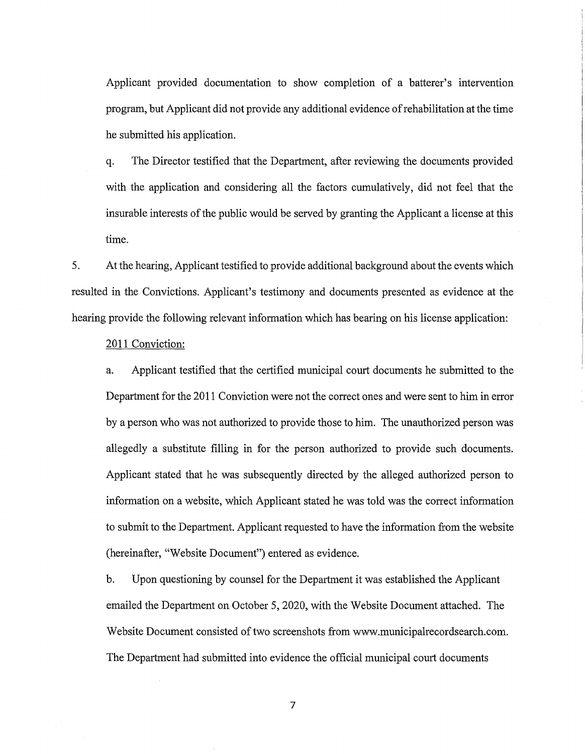Applicant provided documentation to show completion of a batterer's intervention program, but Applicant did not provide any additional evidence of rehabilitation at the time he submitted his application.

q. The Director testified that the Department, after reviewing the documents provided with the application and considering all the factors cumulatively, did not feel that the insurable interests of the public would be served by granting the Applicant a license at this time.

5. At the hearing, Applicant testified to provide additional background about the events which resulted in the Convictions. Applicant's testimony and documents presented as evidence at the hearing provide the following relevant information which has bearing on his license application:

# 2011 Conviction:

a. Applicant testified that the certified municipal court documents he submitted to the Department for the 2011 Conviction were not the correct ones and were sent to him in error by a person who was not authorized to provide those to him. The unauthorized person was allegedly a substitute filling in for the person authorized to provide such documents. Applicant stated that he was subsequently directed by the alleged authorized person to information on a website, which Applicant stated he was told was the correct information to submit to the Department. Applicant requested to have the information from the website (hereinafter, "Website Document") entered as evidence.

b. Upon questioning by counsel for the Department it was established the Applicant emailed the Department on October 5, 2020, with the Website Document attached. The Website Document consisted of two screenshots from www.municipalrecordsearch.com. The Department had submitted into evidence the official municipal court documents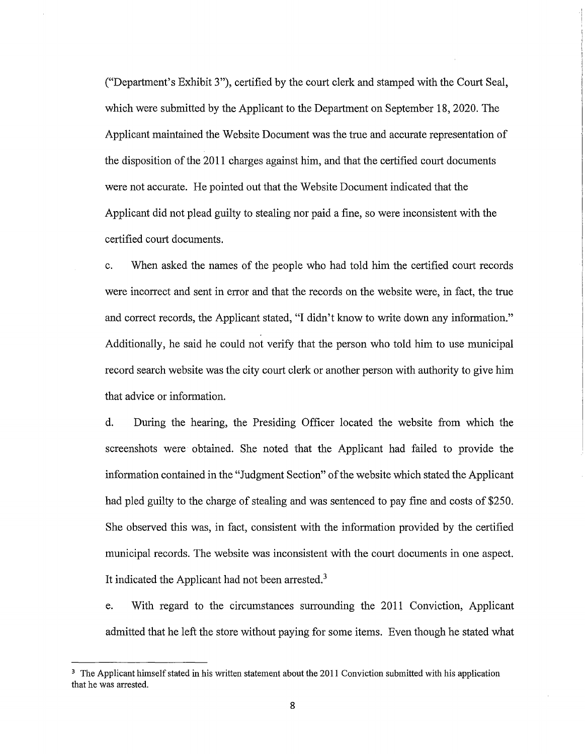("Department's Exhibit 3"), certified by the court clerk and stamped with the Court Seal, which were submitted by the Applicant to the Department on September 18, 2020. The Applicant maintained the Website Document was the true and accurate representation of the disposition of the 2011 charges against him, and that the certified court documents were not accurate. He pointed out that the Website Document indicated that the Applicant did not plead guilty to stealing nor paid a fine, so were inconsistent with the certified court documents.

c. When asked the names of the people who had told him the certified court records were incorrect and sent in error and that the records on the website were, in fact, the true and correct records, the Applicant stated, "I didn't know to write down any information." Additionally, he said he could not verify that the person who told him to use municipal record search website was the city court clerk or another person with authority to give him that advice or information.

d. During the hearing, the Presiding Officer located the website from which the screenshots were obtained. She noted that the Applicant had failed to provide the information contained in the "Judgment Section" of the website which stated the Applicant had pled guilty to the charge of stealing and was sentenced to pay fine and costs of \$250. She observed this was, in fact, consistent with the information provided by the certified municipal records. The website was inconsistent with the court documents in one aspect. It indicated the Applicant had not been arrested.<sup>3</sup>

e. With regard to the circumstances surrounding the 2011 Conviction, Applicant admitted that he left the store without paying for some items. Even though he stated what

<sup>&</sup>lt;sup>3</sup> The Applicant himself stated in his written statement about the 2011 Conviction submitted with his application that he was arrested.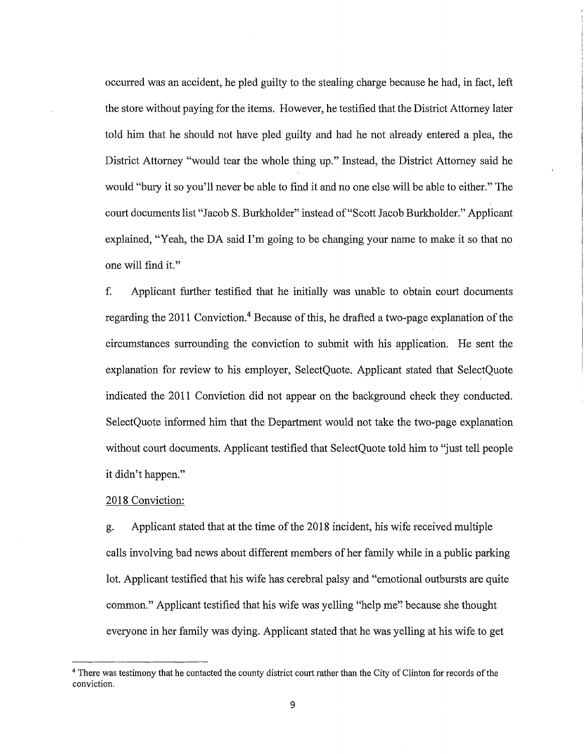occurred was an accident, he pled guilty to the stealing charge because he had, in fact, left the store without paying for the items. However, he testified that the District Attorney later told him that he should not have pled guilty and had he not already entered a plea, the District Attorney "would tear the whole thing up." Instead, the District Attorney said he would "bury it so you'll never be able to find it and no one else will be able to either." The court documents list "Jacob S. Burkholder" instead of "Scott Jacob Burkholder." Applicant explained, "Yeah, the DA said I'm going to be changing your name to make it so that no one will find it."

f. Applicant further testified that he initially was unable to obtain court documents regarding the 2011 Conviction.<sup>4</sup> Because of this, he drafted a two-page explanation of the circumstances surrounding the conviction to submit with his application. He sent the explanation for review to his employer, SelectQuote. Applicant stated that SelectQuote indicated the 2011 Conviction did not appear on the background check they conducted. SelectQuote informed him that the Department would not take the two-page explanation without court documents. Applicant testified that SelectQuote told him to "just tell people it didn't happen."

# 2018 Conviction:

g. Applicant stated that at the time of the 2018 incident, his wife received multiple calls involving bad news about different members of her family while in a public parking lot. Applicant testified that his wife has cerebral palsy and "emotional outbursts are quite common." Applicant testified that his wife was yelling "help me''. because she thought everyone in her family was dying. Applicant stated that he was yelling at his wife to get

<sup>&</sup>lt;sup>4</sup> There was testimony that he contacted the county district court rather than the City of Clinton for records of the conviction.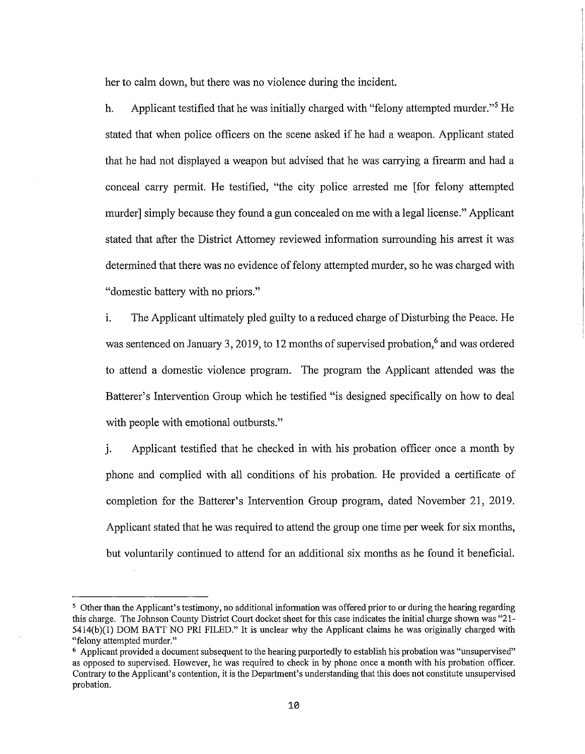her to calm down, but there was no violence during the incident.

h. Applicant testified that he was initially charged with "felony attempted murder."5 He stated that when police officers on the scene asked if he had a weapon. Applicant stated that he had not displayed a weapon but advised that he was carrying a firearm and had a conceal carry permit. He testified, "the city police arrested me [for felony attempted murder] simply because they found a gun concealed on me with a legal license." Applicant stated that after the District Attorney reviewed information surrounding his arrest it was determined that there was no evidence of felony attempted murder, so he was charged with "domestic battery with no priors."

1. The Applicant ultimately pled guilty to a reduced charge of Disturbing the Peace. He was sentenced on January 3, 2019, to 12 months of supervised probation,<sup>6</sup> and was ordered to attend a domestic violence program. The program the Applicant attended was the Batterer's Intervention Group which he testified "is designed specifically on how to deal with people with emotional outbursts."

i. Applicant testified that he checked in with his probation officer once a month by phone and complied with all conditions of his probation. He provided a certificate of completion for the Batterer's Intervention Group program, dated November 21, 2019. Applicant stated that he was required to attend the group one time per week for six months, but voluntarily continued to attend for an additional six months as he found it beneficial.

<sup>5</sup>Other than the Applicant's testimony, no additional information was offered prior to or during the hearing regarding this charge. The Johnson County District Court docket sheet for this case indicates the initial charge shown was "21- 5414(b )(1) DOM BATT NO PRI FILED." It is unclear why the Applicant claims he was originally charged with "felony attempted murder."

<sup>&</sup>lt;sup>6</sup> Applicant provided a document subsequent to the hearing purportedly to establish his probation was "unsupervised" as opposed to supervised. However, he was required to check in by phone once a month with his probation officer. Contrary to the Applicant's contention, it is the Department's understanding that this does not constitute unsupervised probation.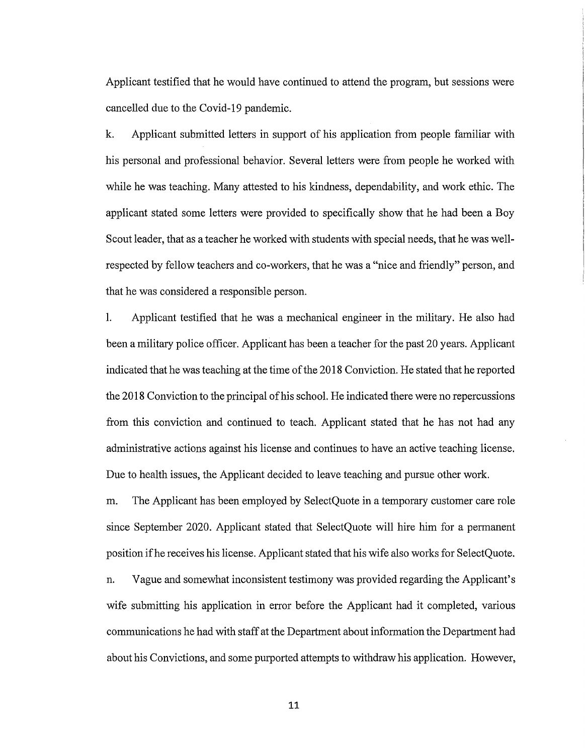Applicant testified that he would have continued to attend the program, but sessions were cancelled due to the Covid-19 pandemic.

k. Applicant submitted letters in support of his application from people familiar with his personal and professional behavior. Several letters were from people he worked with while he was teaching. Many attested to his kindness, dependability, and work ethic. The applicant stated some letters were provided to specifically show that he had been a Boy Scout leader, that as a teacher he worked with students with special needs, that he was wellrespected by fellow teachers and co-workers, that he was a "nice and friendly" person, and that he was considered a responsible person.

1. Applicant testified that he was a mechanical engineer in the military. He also had been a military police officer. Applicant has been a teacher for the past 20 years. Applicant indicated that he was teaching at the time of the 2018 Conviction. He stated that he reported the 2018 Conviction to the principal of his school. He indicated there were no repercussions from this conviction and continued to teach. Applicant stated that he has not had any administrative actions against his license and continues to have an active teaching license. Due to health issues, the Applicant decided to leave teaching and pursue other work.

m. The Applicant has been employed by SelectQuote in a temporary customer care role since September 2020. Applicant stated that SelectQuote will hire him for a permanent position if he receives his license. Applicant stated that his wife also works for SelectQuote.

n. Vague and somewhat inconsistent testimony was provided regarding the Applicant's wife submitting his application in error before the Applicant had it completed, various communications he had with staff at the Department about information the Department had about his Convictions, and some purported attempts to withdraw his application. However,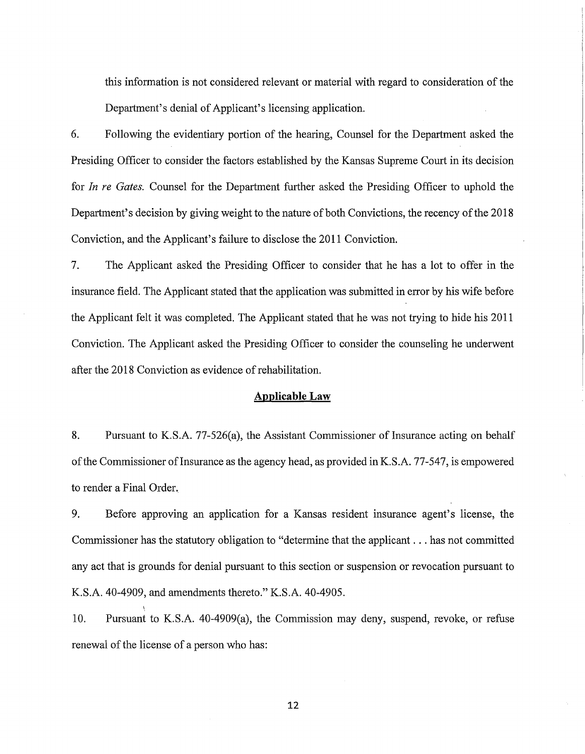this information is not considered relevant or material with regard to consideration of the Department's denial of Applicant's licensing application.

6. Following the evidentiary portion of the hearing, Counsel for the Department asked the Presiding Officer to consider the factors established by the Kansas Supreme Court in its decision for *In re Gates.* Counsel for the Department further asked the Presiding Officer to uphold the Department's decision by giving weight to the nature of both Convictions, the recency of the 2018 Conviction, and the Applicant's failure to disclose the 2011 Conviction.

7. The Applicant asked the Presiding Officer to consider that he has a lot to offer in the insurance field. The Applicant stated that the application was submitted in error by his wife before the Applicant felt it was completed. The Applicant stated that he was not trying to hide his 2011 Conviction. The Applicant asked the Presiding Officer to consider the counseling he underwent after the 2018 Conviction as evidence of rehabilitation.

#### **Applicable Law**

8. Pursuant to K.S.A. 77-526(a), the Assistant Commissioner of Insurance acting on behalf of the Commissioner of Insurance as the agency head, as provided in K.S.A. 77-547, is empowered to render a Final Order.

9. Before approving an application for a Kansas resident insurance agent's license, the Commissioner has the statutory obligation to "determine that the applicant ... has not committed any act that is grounds for denial pursuant to this section or suspension or revocation pursuant to K.S.A. 40-4909, and amendments thereto." K.S.A. 40-4905.

10. Pursuant to K.S.A. 40-4909(a), the Commission may deny, suspend, revoke, or refuse renewal of the license of a person who has:

\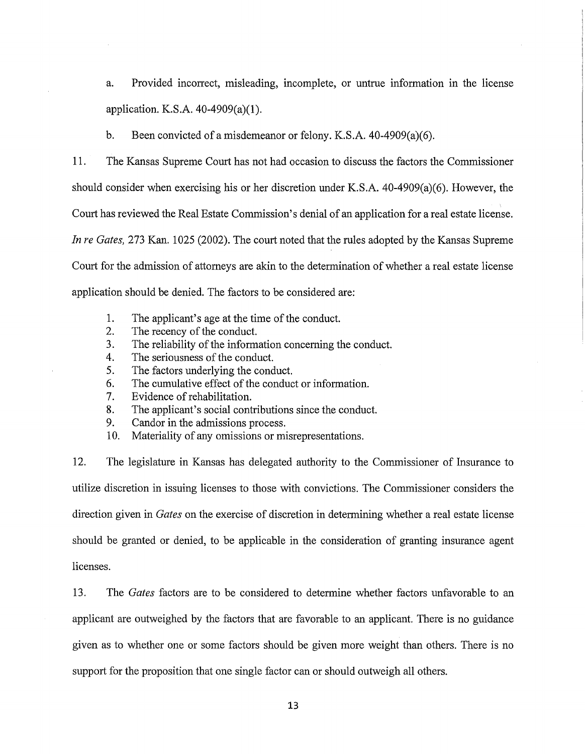a. Provided incorrect, misleading, incomplete, or untrue information in the license application. K.S.A. 40-4909(a)(l).

b. Been convicted of a misdemeanor or felony. K.S.A. 40-4909(a)(6).

11. The Kansas Supreme Court has not had occasion to discuss the factors the Commissioner should consider when exercising his or her discretion under K.S.A. 40-4909(a)(6). However, the Court has reviewed the Real Estate Commission's denial of an application for a real estate license. *In re Gates,* 273 Kan. 1025 (2002). The court noted that the rules adopted by the Kansas Supreme Court for the admission of attorneys are akin to the determination of whether a real estate license application should be denied. The factors to be considered are:

- 1. The applicant's age at the time of the conduct.
- 2. The recency of the conduct.<br>3. The reliability of the inform
- The reliability of the information concerning the conduct.
- 4. The seriousness of the conduct.
- 5. The factors underlying the conduct.
- 6. The cumulative effect of the conduct or information.
- 7. Evidence of rehabilitation.
- 8. The applicant's social contributions since the conduct.
- 9. Candor in the admissions process.
- 10. Materiality of any omissions or misrepresentations.

12. The legislature in Kansas has delegated authority to the Commissioner of Insurance to utilize discretion in issuing licenses to those with convictions. The Commissioner considers the direction given in *Gates* on the exercise of discretion in determining whether a real estate license should be granted or denied, to be applicable in the consideration of granting insurance agent licenses.

13. The *Gates* factors are to be considered to determine whether factors unfavorable to an applicant are outweighed by the factors that are favorable to an applicant. There is no guidance given as to whether one or some factors should be given more weight than others. There is no support for the proposition that one single factor can or should outweigh all others.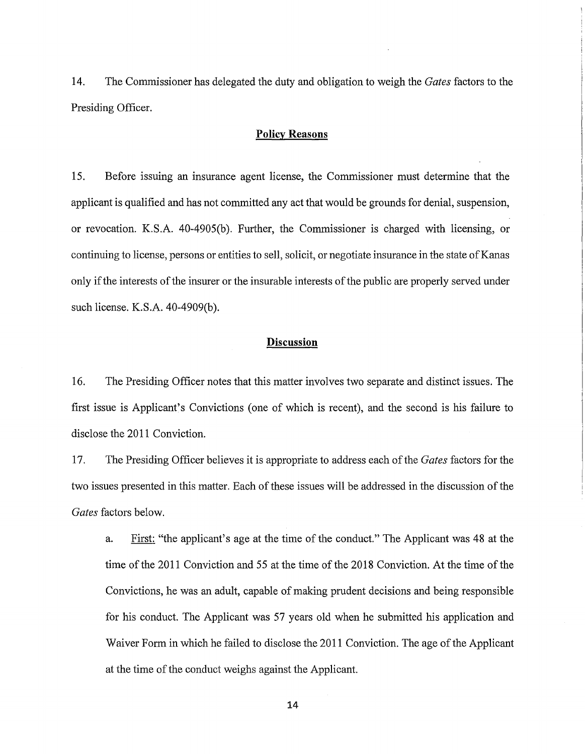14. The Commissioner has delegated the duty and obligation to weigh the *Gates* factors to the Presiding Officer.

### **Policy Reasons**

15. Before issuing an insurance agent license, the Commissioner must determine that the applicant is qualified and has not committed any act that would be grounds for denial, suspension, or revocation. K.S.A. 40-4905(b). Further, the Commissioner is charged with licensing, or continuing to license, persons or entities to sell, solicit, or negotiate insurance in the state of Kanas only if the interests of the insurer or the insurable interests of the public are properly served under such license. K.S.A. 40-4909(b).

#### **Discussion**

16. The Presiding Officer notes that this matter involves two separate and distinct issues. The first issue is Applicant's Convictions (one of which is recent), and the second is his failure to disclose the 2011 Conviction.

17. The Presiding Officer believes it is appropriate to address each of the *Gates* factors for the two issues presented in this matter. Each of these issues will be addressed in the discussion of the *Gates* factors below.

a. First: "the applicant's age at the time of the conduct." The Applicant was 48 at the time of the 2011 Conviction and 55 at the time of the 2018 Conviction. At the time of the Convictions, he was an adult, capable of making prudent decisions and being responsible for his conduct. The Applicant was 57 years old when he submitted his application and Waiver Form in which he failed to disclose the 2011 Conviction. The age of the Applicant at the time of the conduct weighs against the Applicant.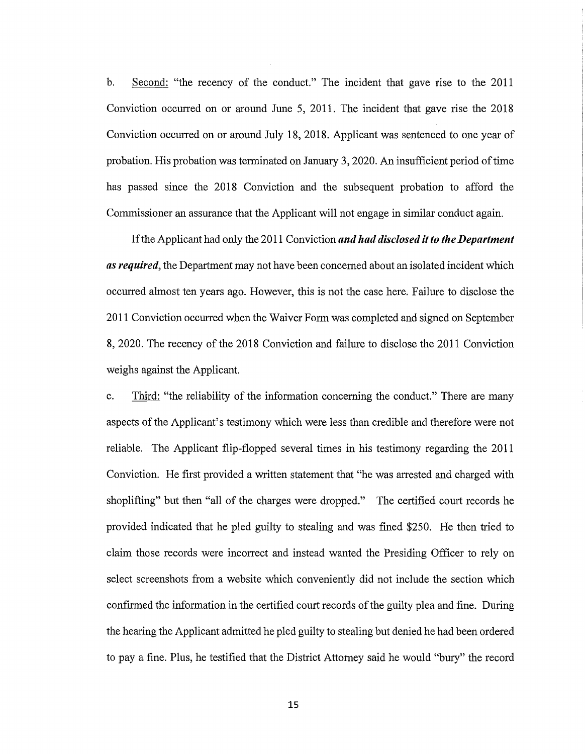b. Second: "the recency of the conduct." The incident that gave rise to the 2011 Conviction occurred on or around June 5, 2011. The incident that gave rise the 2018 Conviction occurred on or around July 18, 2018. Applicant was sentenced to one year of probation. His probation was terminated on January 3, 2020. An insufficient period of time has passed since the 2018 Conviction and the subsequent probation to afford the Commissioner an assurance that the Applicant will not engage in similar conduct again.

If the Applicant had only the 2011 Conviction *and had disclosed it to the Department as required,* the Department may not have been concerned about an isolated incident which occurred almost ten years ago. However, this is not the case here. Failure to disclose the 2011 Conviction occurred when the Waiver Form was completed and signed on September **8,** 2020. The recency of the 2018 Conviction and failure to disclose the 2011 Conviction weighs against the Applicant.

c. Third: "the reliability of the information concerning the conduct." There are many aspects of the Applicant's testimony which were less than credible and therefore were not reliable. The Applicant flip-flopped several times in his testimony regarding the 2011 Conviction. He first provided a written statement that "he was arrested and charged with shoplifting" but then "all of the charges were dropped." The certified court records he provided indicated that he pled guilty to stealing and was fined \$250. He then tried to claim those records were incorrect and instead wanted the Presiding Officer to rely on select screenshots from a website which conveniently did not include the section which confirmed the information in the certified court records of the guilty plea and fine. During the hearing the Applicant admitted he pled guilty to stealing but denied he had been ordered to pay a fine. Plus, he testified that the District Attorney said he would "bury" the record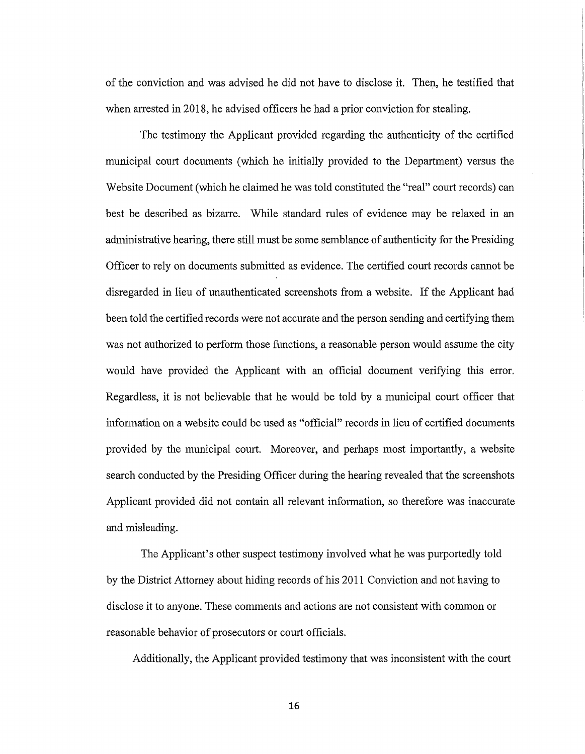of the conviction and was advised he did not have to disclose it. Then, he testified that when arrested in 2018, he advised officers he had a prior conviction for stealing.

The testimony the Applicant provided regarding the authenticity of the certified municipal court documents (which he initially provided to the Department) versus the Website Document (which he claimed he was told constituted the "real" court records) can best be described as bizarre. While standard rules of evidence may be relaxed in an administrative hearing, there still must be some semblance of authenticity for the Presiding Officer to rely on documents submitted as evidence. The certified court records cannot be disregarded in lieu of unauthenticated screenshots from a website. If the Applicant had been told the certified records were not accurate and the person sending and certifying them was not authorized to perform those functions, a reasonable person would assume the city would have provided the Applicant with an official document verifying this error. Regardless, it is not believable that he would be told by a municipal court officer that information on a website could be used as "official" records in lieu of certified documents provided by the municipal court. Moreover, and perhaps most importantly, a website search conducted by the Presiding Officer during the hearing revealed that the screenshots Applicant provided did not contain all relevant information, so therefore was inaccurate and misleading.

The Applicant's other suspect testimony involved what he was purportedly told by the District Attorney about hiding records of his 2011 Conviction and not having to disclose it to anyone. These comments and actions are not consistent with common or reasonable behavior of prosecutors or court officials.

Additionally, the Applicant provided testimony that was inconsistent with the court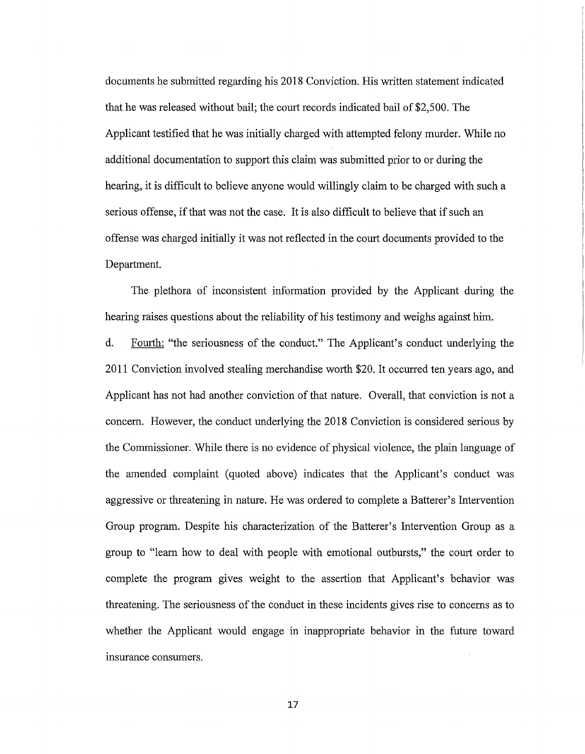documents he submitted regarding his 2018 Conviction. His written statement indicated that he was released without bail; the court records indicated bail of \$2,500. The Applicant testified that he was initially charged with attempted felony murder. While no additional documentation to support this claim was submitted prior to or during the hearing, it is difficult to believe anyone would willingly claim to be charged with such a serious offense, if that was not the case. It is also difficult to believe that if such an offense was charged initially it was not reflected in the court documents provided to the Department.

The plethora of inconsistent information provided by the Applicant during the hearing raises questions about the reliability of his testimony and weighs against him.

d. Fourth: "the seriousness of the conduct." The Applicant's conduct underlying the 2011 Conviction involved stealing merchandise worth \$20. It occurred ten years ago, and Applicant has not had another conviction of that nature. Overall, that conviction is not a concern. However, the conduct underlying the 2018 Conviction is considered serious by the Commissioner. While there is no evidence of physical violence, the plain language of the amended complaint (quoted above) indicates that the Applicant's conduct was aggressive or threatening in nature. He was ordered to complete a Batterer's Intervention Group program. Despite his characterization of the Batterer's Intervention Group as a group to "learn how to deal with people with emotional outbursts," the court order to complete the program gives weight to the assertion that Applicant's behavior was threatening. The seriousness of the conduct in these incidents gives rise to concerns as to whether the Applicant would engage in inappropriate behavior in the future toward msurance consumers.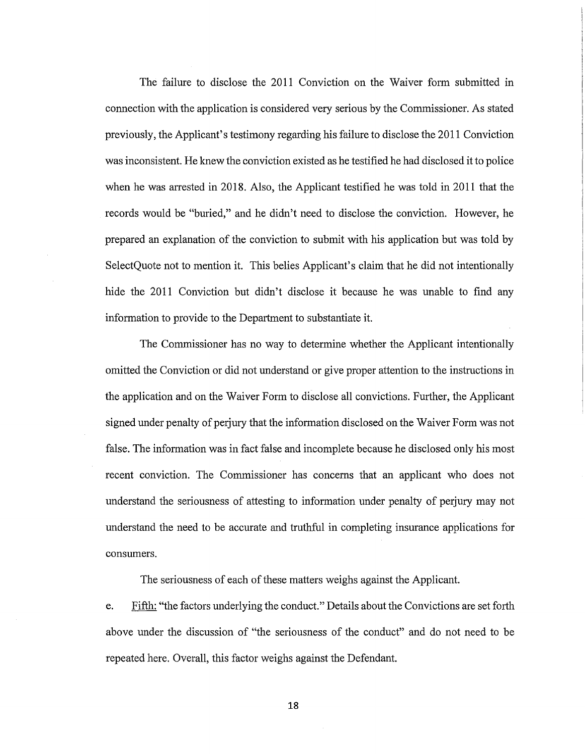The failure to disclose the 2011 Conviction on the Waiver form submitted in connection with the application is considered very serious by the Commissioner. As stated previously, the Applicant's testimony regarding his failure to disclose the 2011 Conviction was inconsistent. He knew the conviction existed as he testified he had disclosed it to police when he was arrested in 2018. Also, the Applicant testified he was told in 2011 that the records would be "buried," and he didn't need to disclose the conviction. However, he prepared an explanation of the conviction to submit with his application but was told by SelectQuote not to mention it. This belies Applicant's claim that he did not intentionally hide the 2011 Conviction but didn't disclose it because he was unable to find any information to provide to the Department to substantiate it.

The Commissioner has no way to determine whether the Applicant intentionally omitted the Conviction or did not understand or give proper attention to the instructions in the application and on the Waiver Form to disclose all convictions. Further, the Applicant signed under penalty of perjury that the information disclosed on the Waiver Form was not false. The information was in fact false and incomplete because he disclosed only his most recent conviction. The Commissioner has concerns that an applicant who does not understand the seriousness of attesting to information under penalty of perjury may not understand the need to be accurate and truthful in completing insurance applications for consumers.

The seriousness of each of these matters weighs against the Applicant.

e. Fifth: "the factors underlying the conduct." Details about the Convictions are set forth above under the discussion of "the seriousness of the conduct" and do not need to be repeated here. Overall, this factor weighs against the Defendant.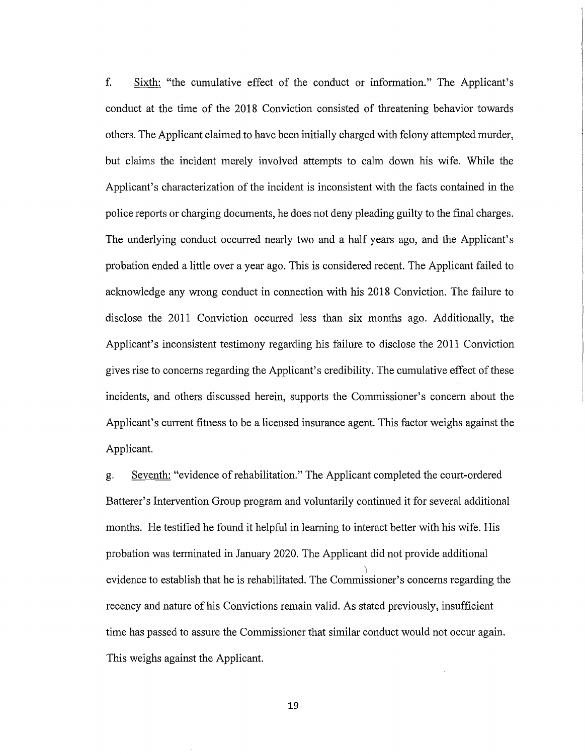f. Sixth: "the cumulative effect of the conduct or information." The Applicant's conduct at the time of the 2018 Conviction consisted of threatening behavior towards others. The Applicant claimed to have been initially charged with felony attempted murder, but claims the incident merely involved attempts to calm down his wife. While the Applicant's characterization of the incident is inconsistent with the facts contained in the police reports or charging documents, he does not deny pleading guilty to the final charges. The underlying conduct occurred nearly two and a half years ago, and the Applicant's probation ended a little over a year ago. This is considered recent. The Applicant failed to acknowledge any wrong conduct in connection with his 2018 Conviction. The failure to disclose the 2011 Conviction occurred less than six months ago. Additionally, the Applicant's inconsistent testimony regarding his failure to disclose the 2011 Conviction gives rise to concerns regarding the Applicant's credibility. The cumulative effect of these incidents, and others discussed herein, supports the Commissioner's concern about the Applicant's current fitness to be a licensed insurance agent. This factor weighs against the Applicant.

g. Seventh: "evidence ofrehabilitation." The Applicant completed the court-ordered Batterer's Intervention Group program and voluntarily continued it for several additional months. He testified he found it helpful in learning to interact better with his wife. His probation was terminated in January 2020. The Applicant did not provide additional 'l evidence to establish that he is rehabilitated. The Commissioner's concerns regarding the recency and nature of his Convictions remain valid. As stated previously, insufficient time has passed to assure the Commissioner that similar conduct would not occur again. This weighs against the Applicant.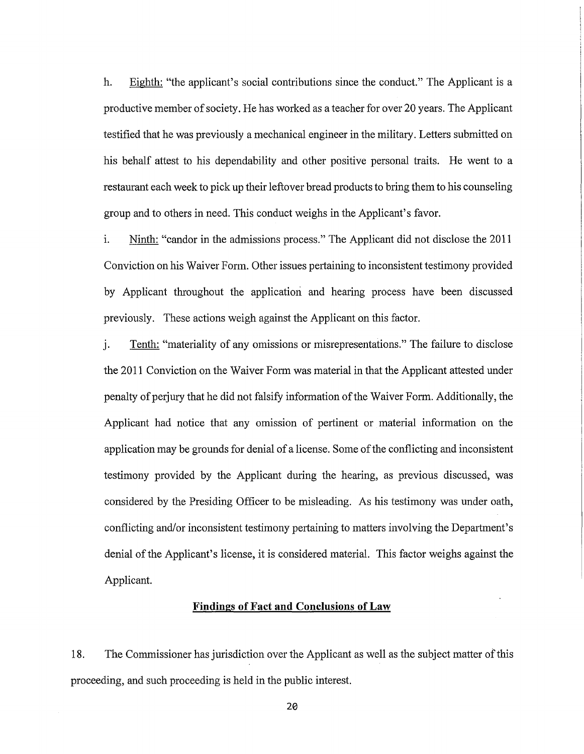h. Eighth: "the applicant's social contributions since the conduct." The Applicant is a productive member of society. He has worked as a teacher for over 20 years. The Applicant testified that he was previously a mechanical engineer in the military. Letters submitted on his behalf attest to his dependability and other positive personal traits. He went to a restaurant each week to pick up their leftover bread products to bring them to his counseling group and to others in need. This conduct weighs in the Applicant's favor.

i. Ninth: "candor in the admissions process." The Applicant did not disclose the 2011 Conviction on his Waiver Form. Other issues pertaining to inconsistent testimony provided by Applicant throughout the application and hearing process have been discussed previously. These actions weigh against the Applicant on this factor.

j. Tenth: "materiality of any omissions or misrepresentations." The failure to disclose the 2011 Conviction on the Waiver Form was material in that the Applicant attested under penalty of perjury that he did not falsify information of the Waiver Form. Additionally, the Applicant had notice that any omission of pertinent or material information on the application may be grounds for denial of a license. Some of the conflicting and inconsistent testimony provided by the Applicant during the hearing, as previous discussed, was considered by the Presiding Officer to be misleading. As his testimony was under oath, conflicting and/or inconsistent testimony pertaining to matters involving the Department's denial of the Applicant's license, it is considered material. This factor weighs against the Applicant.

### **Findings of Fact and Conclusions of Law**

18. The Commissioner has jurisdiction over the Applicant as well as the subject matter of this proceeding, and such proceeding is held in the public interest.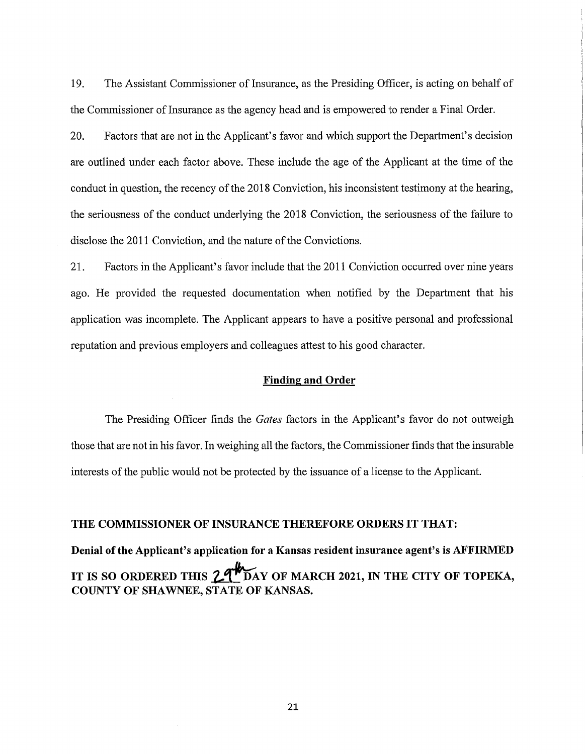19. The Assistant Commissioner of Insurance, as the Presiding Officer, is acting on behalf of the Commissioner of Insurance as the agency head and is empowered to render a Final Order.

20. Factors that are not in the Applicant's favor and which support the Department's decision are outlined under each factor above. These include the age of the Applicant at the time of the conduct in question, the recency of the 2018 Conviction, his inconsistent testimony at the hearing, the seriousness of the conduct underlying the 2018 Conviction, the seriousness of the failure to disclose the 2011 Conviction, and the nature of the Convictions.

21. Factors in the Applicant's favor include that the 2011 Conviction occurred over nine years ago. He provided the requested documentation when notified by the Department that his application was incomplete. The Applicant appears to have a positive personal and professional reputation and previous employers and colleagues attest to his good character.

### **Finding and Order**

The Presiding Officer finds the *Gates* factors in the Applicant's favor do not outweigh those that are not in his favor. In weighing all the factors, the Commissioner finds that the insurable interests of the public would not be protected by the issuance of a license to the Applicant.

#### **THE COMMISSIONER OF INSURANCE THEREFORE ORDERS IT THAT:**

**Denial of the Applicant's application for a Kansas resident insurance agent's is AFFIRMED**  IT IS SO ORDERED THIS 2.4 DAY OF MARCH 2021, IN THE CITY OF TOPEKA, **COUNTY OF SHAWNEE, STATE OF KANSAS.**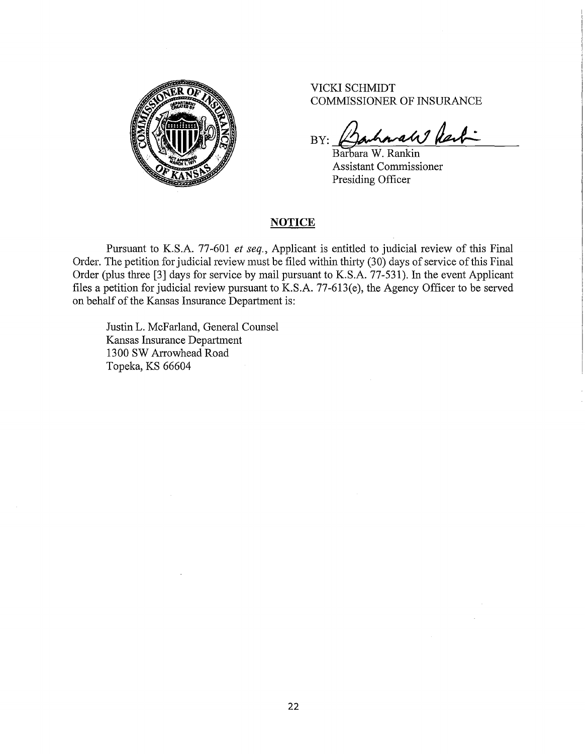

VICKI SCHMIDT COMMISSIONER OF INSURANCE

BY: Barharah last-

Barbara W. Rankin Assistant Commissioner Presiding Officer

#### **NOTICE**

Pursuant to K.S.A. 77-601 *et seq.,* Applicant is entitled to judicial review of this Final Order. The petition for judicial review must be filed within thirty (30) days of service of this Final Order (plus three [3] days for service by mail pursuant to K.S.A. 77-531). In the event Applicant files a petition for judicial review pursuant to K.S.A. 77-613(e), the Agency Officer to be served on behalf of the Kansas Insurance Department is:

Justin L. McFarland, General Counsel Kansas Insurance Department 1300 SW Arrowhead Road Topeka, KS 66604